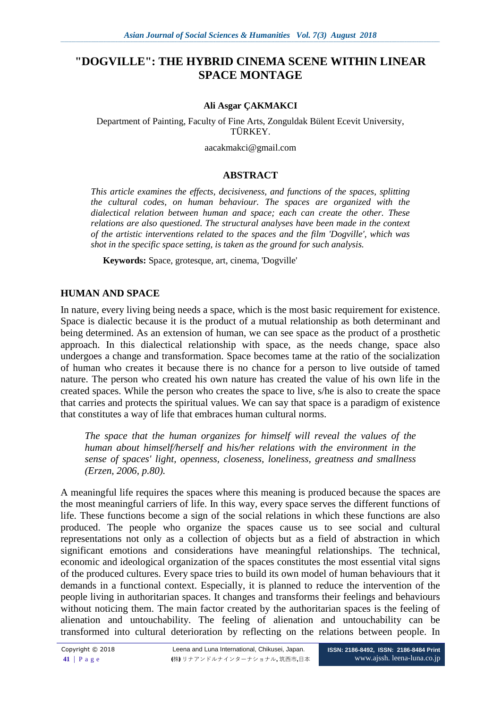# **"DOGVILLE": THE HYBRID CINEMA SCENE WITHIN LINEAR SPACE MONTAGE**

### **Ali Asgar ÇAKMAKCI**

Department of Painting, Faculty of Fine Arts, Zonguldak Bülent Ecevit University, TÜRKEY.

[aacakmakci@gmail.com](mailto:aacakmakci@gmail.com)

## **ABSTRACT**

*This article examines the effects, decisiveness, and functions of the spaces, splitting the cultural codes, on human behaviour. The spaces are organized with the dialectical relation between human and space; each can create the other. These relations are also questioned. The structural analyses have been made in the context of the artistic interventions related to the spaces and the film 'Dogville', which was shot in the specific space setting, is taken as the ground for such analysis.*

**Keywords:** Space, grotesque, art, cinema, 'Dogville'

## **HUMAN AND SPACE**

In nature, every living being needs a space, which is the most basic requirement for existence. Space is dialectic because it is the product of a mutual relationship as both determinant and being determined. As an extension of human, we can see space as the product of a prosthetic approach. In this dialectical relationship with space, as the needs change, space also undergoes a change and transformation. Space becomes tame at the ratio of the socialization of human who creates it because there is no chance for a person to live outside of tamed nature. The person who created his own nature has created the value of his own life in the created spaces. While the person who creates the space to live, s/he is also to create the space that carries and protects the spiritual values. We can say that space is a paradigm of existence that constitutes a way of life that embraces human cultural norms.

*The space that the human organizes for himself will reveal the values of the human about himself/herself and his/her relations with the environment in the sense of spaces' light, openness, closeness, loneliness, greatness and smallness (Erzen, 2006, p.80).*

A meaningful life requires the spaces where this meaning is produced because the spaces are the most meaningful carriers of life. In this way, every space serves the different functions of life. These functions become a sign of the social relations in which these functions are also produced. The people who organize the spaces cause us to see social and cultural representations not only as a collection of objects but as a field of abstraction in which significant emotions and considerations have meaningful relationships. The technical, economic and ideological organization of the spaces constitutes the most essential vital signs of the produced cultures. Every space tries to build its own model of human behaviours that it demands in a functional context. Especially, it is planned to reduce the intervention of the people living in authoritarian spaces. It changes and transforms their feelings and behaviours without noticing them. The main factor created by the authoritarian spaces is the feeling of alienation and untouchability. The feeling of alienation and untouchability can be transformed into cultural deterioration by reflecting on the relations between people. In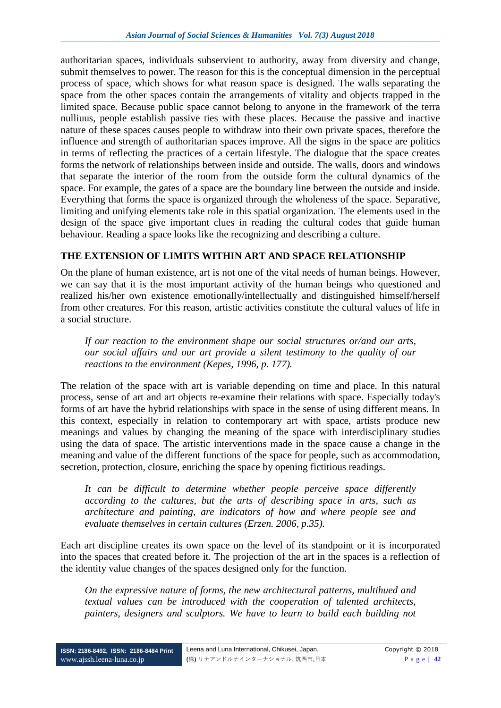authoritarian spaces, individuals subservient to authority, away from diversity and change, submit themselves to power. The reason for this is the conceptual dimension in the perceptual process of space, which shows for what reason space is designed. The walls separating the space from the other spaces contain the arrangements of vitality and objects trapped in the limited space. Because public space cannot belong to anyone in the framework of the terra nulliuus, people establish passive ties with these places. Because the passive and inactive nature of these spaces causes people to withdraw into their own private spaces, therefore the influence and strength of authoritarian spaces improve. All the signs in the space are politics in terms of reflecting the practices of a certain lifestyle. The dialogue that the space creates forms the network of relationships between inside and outside. The walls, doors and windows that separate the interior of the room from the outside form the cultural dynamics of the space. For example, the gates of a space are the boundary line between the outside and inside. Everything that forms the space is organized through the wholeness of the space. Separative, limiting and unifying elements take role in this spatial organization. The elements used in the design of the space give important clues in reading the cultural codes that guide human behaviour. Reading a space looks like the recognizing and describing a culture.

# **THE EXTENSION OF LIMITS WITHIN ART AND SPACE RELATIONSHIP**

On the plane of human existence, art is not one of the vital needs of human beings. However, we can say that it is the most important activity of the human beings who questioned and realized his/her own existence emotionally/intellectually and distinguished himself/herself from other creatures. For this reason, artistic activities constitute the cultural values of life in a social structure.

*If our reaction to the environment shape our social structures or/and our arts, our social affairs and our art provide a silent testimony to the quality of our reactions to the environment (Kepes, 1996, p. 177).*

The relation of the space with art is variable depending on time and place. In this natural process, sense of art and art objects re-examine their relations with space. Especially today's forms of art have the hybrid relationships with space in the sense of using different means. In this context, especially in relation to contemporary art with space, artists produce new meanings and values by changing the meaning of the space with interdisciplinary studies using the data of space. The artistic interventions made in the space cause a change in the meaning and value of the different functions of the space for people, such as accommodation, secretion, protection, closure, enriching the space by opening fictitious readings.

*It can be difficult to determine whether people perceive space differently according to the cultures, but the arts of describing space in arts, such as architecture and painting, are indicators of how and where people see and evaluate themselves in certain cultures (Erzen. 2006, p.35).*

Each art discipline creates its own space on the level of its standpoint or it is incorporated into the spaces that created before it. The projection of the art in the spaces is a reflection of the identity value changes of the spaces designed only for the function.

*On the expressive nature of forms, the new architectural patterns, multihued and textual values can be introduced with the cooperation of talented architects, painters, designers and sculptors. We have to learn to build each building not*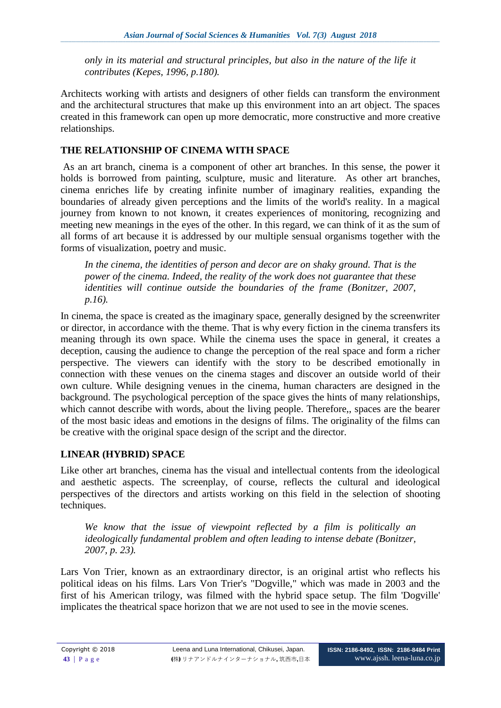*only in its material and structural principles, but also in the nature of the life it contributes (Kepes, 1996, p.180).*

Architects working with artists and designers of other fields can transform the environment and the architectural structures that make up this environment into an art object. The spaces created in this framework can open up more democratic, more constructive and more creative relationships.

# **THE RELATIONSHIP OF CINEMA WITH SPACE**

As an art branch, cinema is a component of other art branches. In this sense, the power it holds is borrowed from painting, sculpture, music and literature. As other art branches, cinema enriches life by creating infinite number of imaginary realities, expanding the boundaries of already given perceptions and the limits of the world's reality. In a magical journey from known to not known, it creates experiences of monitoring, recognizing and meeting new meanings in the eyes of the other. In this regard, we can think of it as the sum of all forms of art because it is addressed by our multiple sensual organisms together with the forms of visualization, poetry and music.

*In the cinema, the identities of person and decor are on shaky ground. That is the power of the cinema. Indeed, the reality of the work does not guarantee that these identities will continue outside the boundaries of the frame (Bonitzer, 2007, p.16).*

In cinema, the space is created as the imaginary space, generally designed by the screenwriter or director, in accordance with the theme. That is why every fiction in the cinema transfers its meaning through its own space. While the cinema uses the space in general, it creates a deception, causing the audience to change the perception of the real space and form a richer perspective. The viewers can identify with the story to be described emotionally in connection with these venues on the cinema stages and discover an outside world of their own culture. While designing venues in the cinema, human characters are designed in the background. The psychological perception of the space gives the hints of many relationships, which cannot describe with words, about the living people. Therefore,, spaces are the bearer of the most basic ideas and emotions in the designs of films. The originality of the films can be creative with the original space design of the script and the director.

# **LINEAR (HYBRID) SPACE**

Like other art branches, cinema has the visual and intellectual contents from the ideological and aesthetic aspects. The screenplay, of course, reflects the cultural and ideological perspectives of the directors and artists working on this field in the selection of shooting techniques.

*We know that the issue of viewpoint reflected by a film is politically an ideologically fundamental problem and often leading to intense debate (Bonitzer, 2007, p. 23).*

Lars Von Trier, known as an extraordinary director, is an original artist who reflects his political ideas on his films. Lars Von Trier's "Dogville," which was made in 2003 and the first of his American trilogy, was filmed with the hybrid space setup. The film 'Dogville' implicates the theatrical space horizon that we are not used to see in the movie scenes.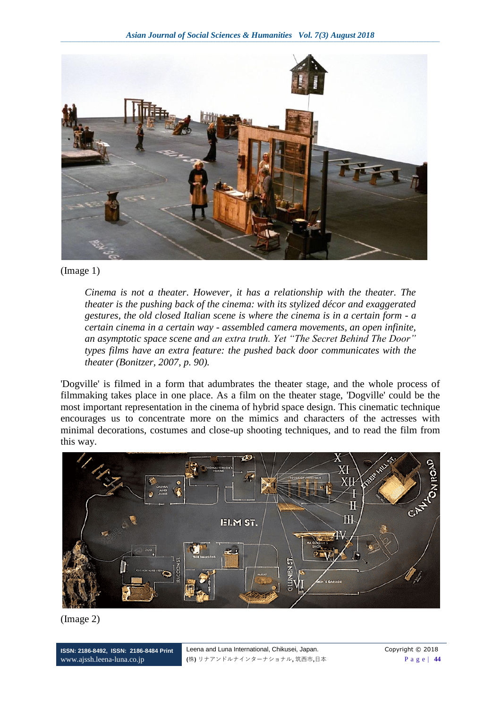

## (Image 1)

*Cinema is not a theater. However, it has a relationship with the theater. The theater is the pushing back of the cinema: with its stylized décor and exaggerated gestures, the old closed Italian scene is where the cinema is in a certain form - a certain cinema in a certain way - assembled camera movements, an open infinite, an asymptotic space scene and an extra truth. Yet "The Secret Behind The Door" types films have an extra feature: the pushed back door communicates with the theater (Bonitzer, 2007, p. 90).*

'Dogville' is filmed in a form that adumbrates the theater stage, and the whole process of filmmaking takes place in one place. As a film on the theater stage, 'Dogville' could be the most important representation in the cinema of hybrid space design. This cinematic technique encourages us to concentrate more on the mimics and characters of the actresses with minimal decorations, costumes and close-up shooting techniques, and to read the film from this way.





**ISSN: 2186-8492, ISSN: 2186-8484 Print** [www.ajssh.leena-luna.co.jp](http://www.ajssh.leena-luna.co.jp/)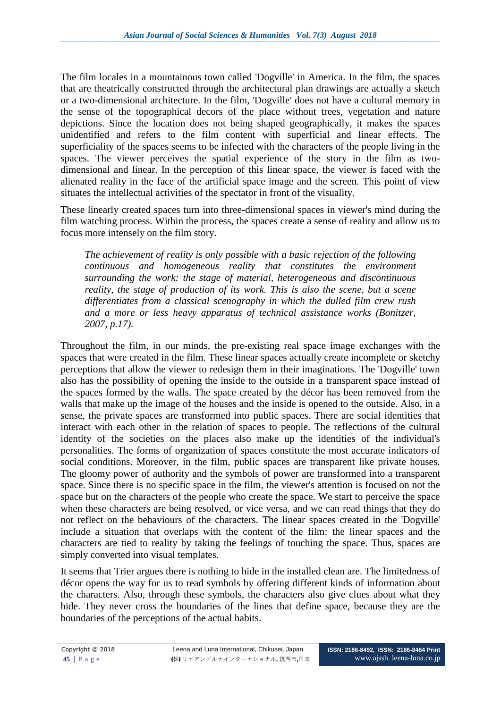The film locales in a mountainous town called 'Dogville' in America. In the film, the spaces that are theatrically constructed through the architectural plan drawings are actually a sketch or a two-dimensional architecture. In the film, 'Dogville' does not have a cultural memory in the sense of the topographical decors of the place without trees, vegetation and nature depictions. Since the location does not being shaped geographically, it makes the spaces unidentified and refers to the film content with superficial and linear effects. The superficiality of the spaces seems to be infected with the characters of the people living in the spaces. The viewer perceives the spatial experience of the story in the film as twodimensional and linear. In the perception of this linear space, the viewer is faced with the alienated reality in the face of the artificial space image and the screen. This point of view situates the intellectual activities of the spectator in front of the visuality.

These linearly created spaces turn into three-dimensional spaces in viewer's mind during the film watching process. Within the process, the spaces create a sense of reality and allow us to focus more intensely on the film story.

*The achievement of reality is only possible with a basic rejection of the following continuous and homogeneous reality that constitutes the environment surrounding the work: the stage of material, heterogeneous and discontinuous reality, the stage of production of its work. This is also the scene, but a scene differentiates from a classical scenography in which the dulled film crew rush and a more or less heavy apparatus of technical assistance works (Bonitzer, 2007, p.17).*

Throughout the film, in our minds, the pre-existing real space image exchanges with the spaces that were created in the film. These linear spaces actually create incomplete or sketchy perceptions that allow the viewer to redesign them in their imaginations. The 'Dogville' town also has the possibility of opening the inside to the outside in a transparent space instead of the spaces formed by the walls. The space created by the décor has been removed from the walls that make up the image of the houses and the inside is opened to the outside. Also, in a sense, the private spaces are transformed into public spaces. There are social identities that interact with each other in the relation of spaces to people. The reflections of the cultural identity of the societies on the places also make up the identities of the individual's personalities. The forms of organization of spaces constitute the most accurate indicators of social conditions. Moreover, in the film, public spaces are transparent like private houses. The gloomy power of authority and the symbols of power are transformed into a transparent space. Since there is no specific space in the film, the viewer's attention is focused on not the space but on the characters of the people who create the space. We start to perceive the space when these characters are being resolved, or vice versa, and we can read things that they do not reflect on the behaviours of the characters. The linear spaces created in the 'Dogville' include a situation that overlaps with the content of the film: the linear spaces and the characters are tied to reality by taking the feelings of touching the space. Thus, spaces are simply converted into visual templates.

It seems that Trier argues there is nothing to hide in the installed clean are. The limitedness of décor opens the way for us to read symbols by offering different kinds of information about the characters. Also, through these symbols, the characters also give clues about what they hide. They never cross the boundaries of the lines that define space, because they are the boundaries of the perceptions of the actual habits.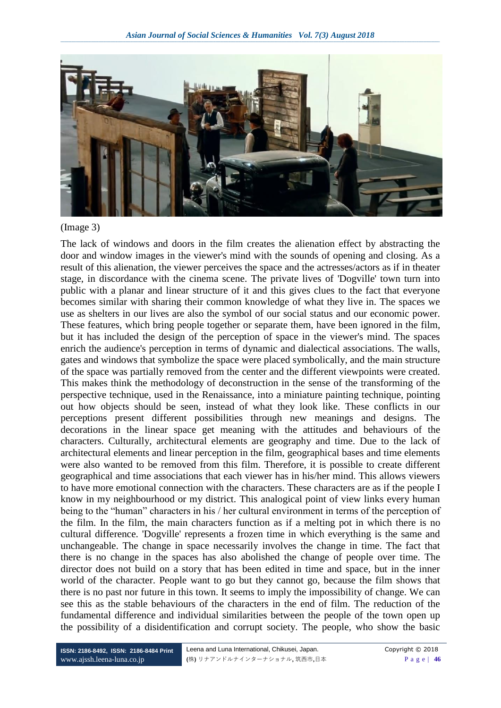

#### (Image 3)

The lack of windows and doors in the film creates the alienation effect by abstracting the door and window images in the viewer's mind with the sounds of opening and closing. As a result of this alienation, the viewer perceives the space and the actresses/actors as if in theater stage, in discordance with the cinema scene. The private lives of 'Dogville' town turn into public with a planar and linear structure of it and this gives clues to the fact that everyone becomes similar with sharing their common knowledge of what they live in. The spaces we use as shelters in our lives are also the symbol of our social status and our economic power. These features, which bring people together or separate them, have been ignored in the film, but it has included the design of the perception of space in the viewer's mind. The spaces enrich the audience's perception in terms of dynamic and dialectical associations. The walls, gates and windows that symbolize the space were placed symbolically, and the main structure of the space was partially removed from the center and the different viewpoints were created. This makes think the methodology of deconstruction in the sense of the transforming of the perspective technique, used in the Renaissance, into a miniature painting technique, pointing out how objects should be seen, instead of what they look like. These conflicts in our perceptions present different possibilities through new meanings and designs. The decorations in the linear space get meaning with the attitudes and behaviours of the characters. Culturally, architectural elements are geography and time. Due to the lack of architectural elements and linear perception in the film, geographical bases and time elements were also wanted to be removed from this film. Therefore, it is possible to create different geographical and time associations that each viewer has in his/her mind. This allows viewers to have more emotional connection with the characters. These characters are as if the people I know in my neighbourhood or my district. This analogical point of view links every human being to the "human" characters in his / her cultural environment in terms of the perception of the film. In the film, the main characters function as if a melting pot in which there is no cultural difference. 'Dogville' represents a frozen time in which everything is the same and unchangeable. The change in space necessarily involves the change in time. The fact that there is no change in the spaces has also abolished the change of people over time. The director does not build on a story that has been edited in time and space, but in the inner world of the character. People want to go but they cannot go, because the film shows that there is no past nor future in this town. It seems to imply the impossibility of change. We can see this as the stable behaviours of the characters in the end of film. The reduction of the fundamental difference and individual similarities between the people of the town open up the possibility of a disidentification and corrupt society. The people, who show the basic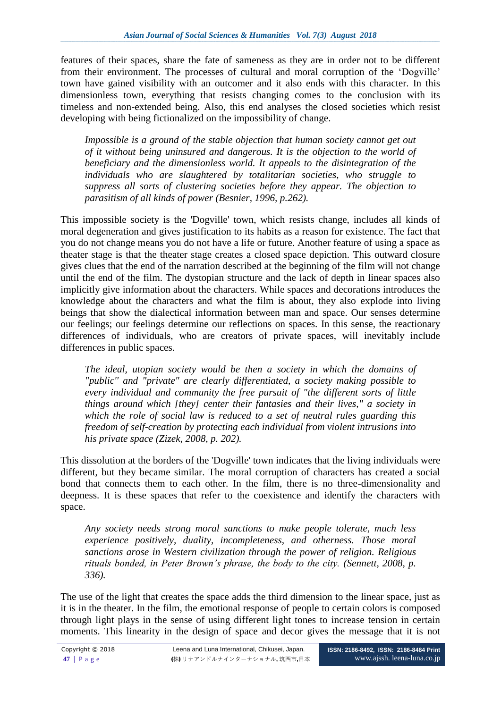features of their spaces, share the fate of sameness as they are in order not to be different from their environment. The processes of cultural and moral corruption of the 'Dogville' town have gained visibility with an outcomer and it also ends with this character. In this dimensionless town, everything that resists changing comes to the conclusion with its timeless and non-extended being. Also, this end analyses the closed societies which resist developing with being fictionalized on the impossibility of change.

*Impossible is a ground of the stable objection that human society cannot get out of it without being uninsured and dangerous. It is the objection to the world of beneficiary and the dimensionless world. It appeals to the disintegration of the individuals who are slaughtered by totalitarian societies, who struggle to suppress all sorts of clustering societies before they appear. The objection to parasitism of all kinds of power (Besnier, 1996, p.262).*

This impossible society is the 'Dogville' town, which resists change, includes all kinds of moral degeneration and gives justification to its habits as a reason for existence. The fact that you do not change means you do not have a life or future. Another feature of using a space as theater stage is that the theater stage creates a closed space depiction. This outward closure gives clues that the end of the narration described at the beginning of the film will not change until the end of the film. The dystopian structure and the lack of depth in linear spaces also implicitly give information about the characters. While spaces and decorations introduces the knowledge about the characters and what the film is about, they also explode into living beings that show the dialectical information between man and space. Our senses determine our feelings; our feelings determine our reflections on spaces. In this sense, the reactionary differences of individuals, who are creators of private spaces, will inevitably include differences in public spaces.

*The ideal, utopian society would be then a society in which the domains of "public'' and "private" are clearly differentiated, a society making possible to every individual and community the free pursuit of "the different sorts of little things around which [they] center their fantasies and their lives," a society in which the role of social law is reduced to a set of neutral rules guarding this freedom of self-creation by protecting each individual from violent intrusions into his private space (Zizek, 2008, p. 202).*

This dissolution at the borders of the 'Dogville' town indicates that the living individuals were different, but they became similar. The moral corruption of characters has created a social bond that connects them to each other. In the film, there is no three-dimensionality and deepness. It is these spaces that refer to the coexistence and identify the characters with space.

*Any society needs strong moral sanctions to make people tolerate, much less experience positively, duality, incompleteness, and otherness. Those moral sanctions arose in Western civilization through the power of religion. Religious rituals bonded, in Peter Brown's phrase, the body to the city. (Sennett, 2008, p. 336).* 

The use of the light that creates the space adds the third dimension to the linear space, just as it is in the theater. In the film, the emotional response of people to certain colors is composed through light plays in the sense of using different light tones to increase tension in certain moments. This linearity in the design of space and decor gives the message that it is not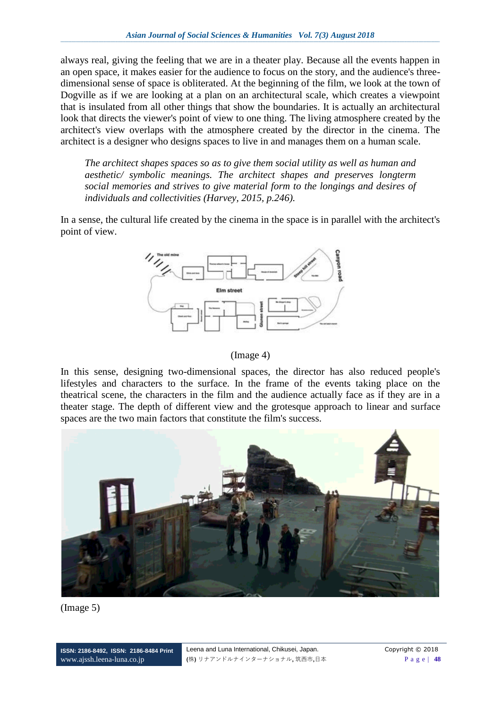always real, giving the feeling that we are in a theater play. Because all the events happen in an open space, it makes easier for the audience to focus on the story, and the audience's threedimensional sense of space is obliterated. At the beginning of the film, we look at the town of Dogville as if we are looking at a plan on an architectural scale, which creates a viewpoint that is insulated from all other things that show the boundaries. It is actually an architectural look that directs the viewer's point of view to one thing. The living atmosphere created by the architect's view overlaps with the atmosphere created by the director in the cinema. The architect is a designer who designs spaces to live in and manages them on a human scale.

*The architect shapes spaces so as to give them social utility as well as human and aesthetic/ symbolic meanings. The architect shapes and preserves longterm social memories and strives to give material form to the longings and desires of individuals and collectivities (Harvey, 2015, p.246).*

In a sense, the cultural life created by the cinema in the space is in parallel with the architect's point of view.



#### (Image 4)

In this sense, designing two-dimensional spaces, the director has also reduced people's lifestyles and characters to the surface. In the frame of the events taking place on the theatrical scene, the characters in the film and the audience actually face as if they are in a theater stage. The depth of different view and the grotesque approach to linear and surface spaces are the two main factors that constitute the film's success.



#### (Image 5)

**ISSN: 2186-8492, ISSN: 2186-8484 Print** [www.ajssh.leena-luna.co.jp](http://www.ajssh.leena-luna.co.jp/)